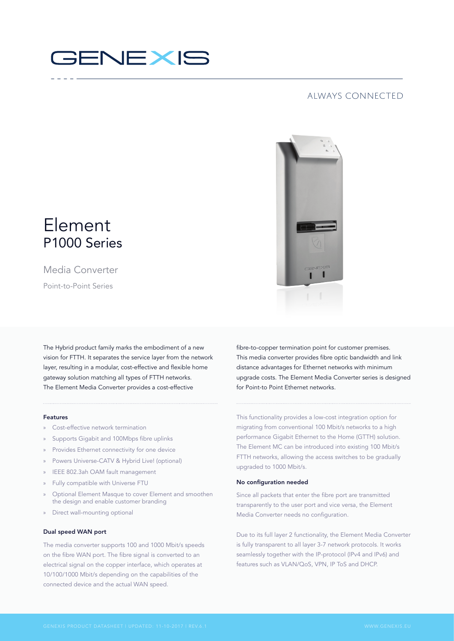# **GENEXIS**

### always connected



## Element P1000 Series

Media Converter Point-to-Point Series

The Hybrid product family marks the embodiment of a new vision for FTTH. It separates the service layer from the network layer, resulting in a modular, cost-effective and flexible home gateway solution matching all types of FTTH networks. The Element Media Converter provides a cost-effective

#### Features

- » Cost-effective network termination
- » Supports Gigabit and 100Mbps fibre uplinks
- Provides Ethernet connectivity for one device
- » Powers Universe-CATV & Hybrid Live! (optional)
- » IEEE 802.3ah OAM fault management
- » Fully compatible with Universe FTU
- » Optional Element Masque to cover Element and smoothen the design and enable customer branding
- » Direct wall-mounting optional

#### Dual speed WAN port

The media converter supports 100 and 1000 Mbit/s speeds on the fibre WAN port. The fibre signal is converted to an electrical signal on the copper interface, which operates at 10/100/1000 Mbit/s depending on the capabilities of the connected device and the actual WAN speed.

fibre-to-copper termination point for customer premises. This media converter provides fibre optic bandwidth and link distance advantages for Ethernet networks with minimum upgrade costs. The Element Media Converter series is designed for Point-to Point Ethernet networks.

This functionality provides a low-cost integration option for migrating from conventional 100 Mbit/s networks to a high performance Gigabit Ethernet to the Home (GTTH) solution. The Element MC can be introduced into existing 100 Mbit/s FTTH networks, allowing the access switches to be gradually upgraded to 1000 Mbit/s.

#### No configuration needed

Since all packets that enter the fibre port are transmitted transparently to the user port and vice versa, the Element Media Converter needs no configuration.

Due to its full layer 2 functionality, the Element Media Converter is fully transparent to all layer 3-7 network protocols. It works seamlessly together with the IP-protocol (IPv4 and IPv6) and features such as VLAN/QoS, VPN, IP ToS and DHCP.